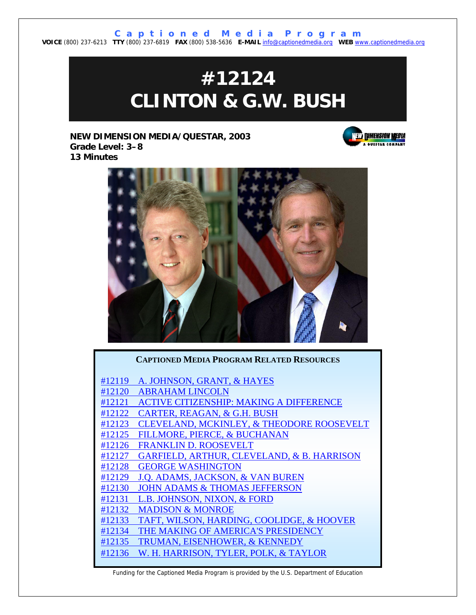**C a p t i o n e d M e d i a P r o g r a m VOICE** (800) 237-6213 **TTY** (800) 237-6819 **FAX** (800) 538-5636 **E-MAIL** info@captionedmedia.org **WEB** www.captionedmedia.org

# **#12124 CLINTON & G.W. BUSH**

**NEW DIMENSION MEDIA/QUESTAR, 2003 Grade Level: 3–8 13 Minutes** 





#### **CAPTIONED MEDIA PROGRAM RELATED RESOURCES**

[#12119 A. JOHNSON, GRANT, & HAYES](http://www.dcmp.org/titledetail.asp?dn=12119) [#12120 ABRAHAM LINCOLN](http://www.dcmp.org/titledetail.asp?dn=12120) [#12121 ACTIVE CITIZENSHIP: MAKING A DIFFERENCE](http://www.dcmp.org/titledetail.asp?dn=12121) [#12122 CARTER, REAGAN, & G.H. BUSH](http://www.dcmp.org/titledetail.asp?dn=12122) [#12123 CLEVELAND, MCKINLEY, & THEODORE ROOSEVELT](http://www.dcmp.org/titledetail.asp?dn=12123) [#12125 FILLMORE, PIERCE, & BUCHANAN](http://www.dcmp.org/titledetail.asp?dn=12125) [#12126 FRANKLIN D. ROOSEVELT](http://www.dcmp.org/titledetail.asp?dn=12126) [#12127 GARFIELD, ARTHUR, CLEVELAND, & B. HARRISON](http://www.dcmp.org/titledetail.asp?dn=12127) [#12128 GEORGE WASHINGTON](http://www.dcmp.org/titledetail.asp?dn=12128) [#12129 J.Q. ADAMS, JACKSON, & VAN BUREN](http://www.dcmp.org/titledetail.asp?dn=12129) [#12130 JOHN ADAMS & THOMAS JEFFERSON](http://www.dcmp.org/titledetail.asp?dn=12130) [#12131 L.B. JOHNSON, NIXON, & FORD](http://www.dcmp.org/titledetail.asp?dn=12131) [#12132 MADISON & MONROE](http://www.dcmp.org/titledetail.asp?dn=12132) [#12133 TAFT, WILSON, HARDING, COOLIDGE, & HOOVER](http://www.dcmp.org/titledetail.asp?dn=12133) [#12134 THE MAKING OF AMERICA'S PRESIDENCY](http://www.dcmp.org/titledetail.asp?dn=12134) [#12135 TRUMAN, EISENHOWER, & KENNEDY](http://www.dcmp.org/titledetail.asp?dn=12135) [#12136 W. H. HARRISON, TYLER, POLK, & TAYLOR](http://www.dcmp.org/titledetail.asp?dn=12136)

Funding for the Captioned Media Program is provided by the U.S. Department of Education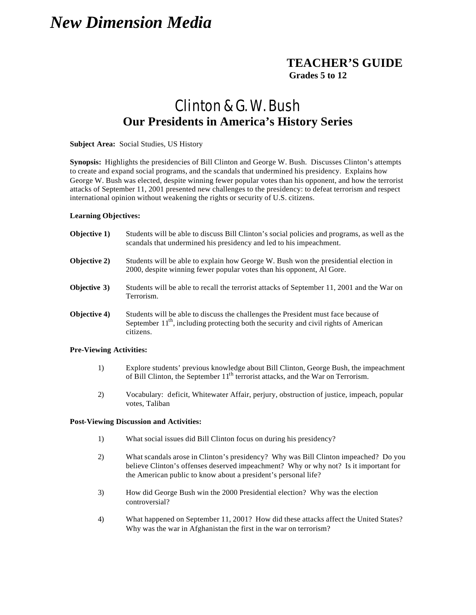## *New Dimension Media*

### **TEACHER'S GUIDE Grades 5 to 12**

## Clinton & G. W. Bush **Our Presidents in America's History Series**

#### **Subject Area:** Social Studies, US History

**Synopsis:** Highlights the presidencies of Bill Clinton and George W. Bush. Discusses Clinton's attempts to create and expand social programs, and the scandals that undermined his presidency. Explains how George W. Bush was elected, despite winning fewer popular votes than his opponent, and how the terrorist attacks of September 11, 2001 presented new challenges to the presidency: to defeat terrorism and respect international opinion without weakening the rights or security of U.S. citizens.

#### **Learning Objectives:**

| Objective 1)                   | Students will be able to discuss Bill Clinton's social policies and programs, as well as the<br>scandals that undermined his presidency and led to his impeachment.                       |
|--------------------------------|-------------------------------------------------------------------------------------------------------------------------------------------------------------------------------------------|
| <b>Objective 2)</b>            | Students will be able to explain how George W. Bush won the presidential election in<br>2000, despite winning fewer popular votes than his opponent, Al Gore.                             |
| <b>Objective 3)</b>            | Students will be able to recall the terrorist attacks of September 11, 2001 and the War on<br>Terrorism.                                                                                  |
| Objective 4)                   | Students will be able to discuss the challenges the President must face because of<br>September $11th$ , including protecting both the security and civil rights of American<br>citizens. |
| <b>Pre-Viewing Activities:</b> |                                                                                                                                                                                           |

- 1) Explore students' previous knowledge about Bill Clinton, George Bush, the impeachment of Bill Clinton, the September 11<sup>th</sup> terrorist attacks, and the War on Terrorism.
- 2) Vocabulary: deficit, Whitewater Affair, perjury, obstruction of justice, impeach, popular votes, Taliban

#### **Post-Viewing Discussion and Activities:**

- 1) What social issues did Bill Clinton focus on during his presidency?
- 2) What scandals arose in Clinton's presidency? Why was Bill Clinton impeached? Do you believe Clinton's offenses deserved impeachment? Why or why not? Is it important for the American public to know about a president's personal life?
- 3) How did George Bush win the 2000 Presidential election? Why was the election controversial?
- 4) What happened on September 11, 2001? How did these attacks affect the United States? Why was the war in Afghanistan the first in the war on terrorism?